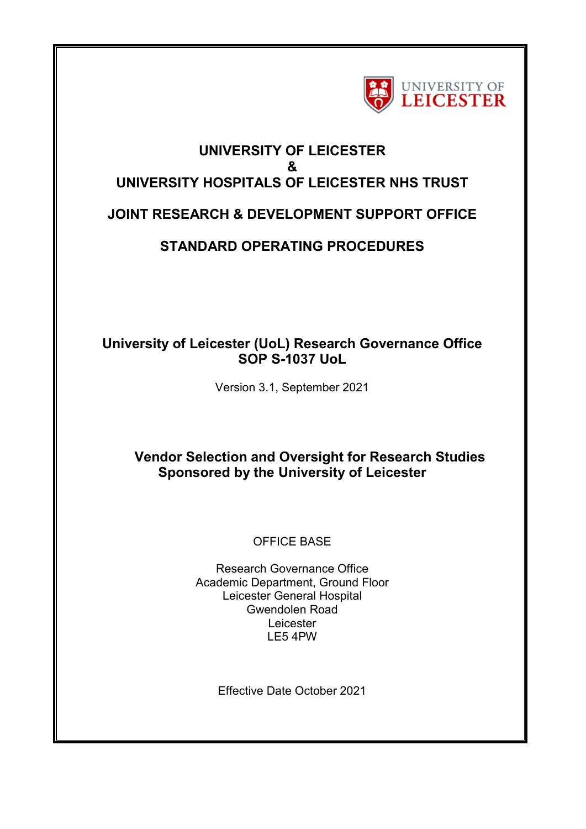

# **UNIVERSITY OF LEICESTER & UNIVERSITY HOSPITALS OF LEICESTER NHS TRUST JOINT RESEARCH & DEVELOPMENT SUPPORT OFFICE**

# **STANDARD OPERATING PROCEDURES**

## **University of Leicester (UoL) Research Governance Office SOP S-1037 UoL**

Version 3.1, September 2021

# **Vendor Selection and Oversight for Research Studies Sponsored by the University of Leicester**

### OFFICE BASE

Research Governance Office Academic Department, Ground Floor Leicester General Hospital Gwendolen Road Leicester LE5 4PW

Effective Date October 2021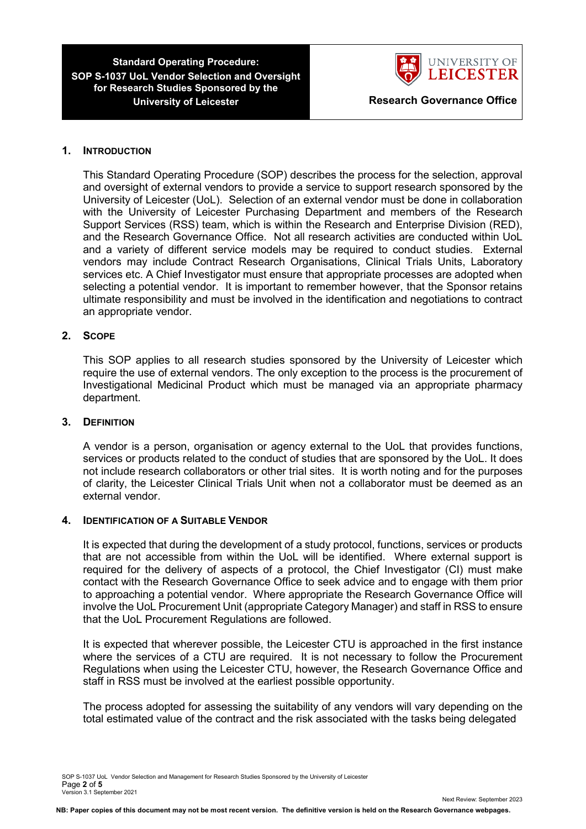

#### **1. INTRODUCTION**

This Standard Operating Procedure (SOP) describes the process for the selection, approval and oversight of external vendors to provide a service to support research sponsored by the University of Leicester (UoL). Selection of an external vendor must be done in collaboration with the University of Leicester Purchasing Department and members of the Research Support Services (RSS) team, which is within the Research and Enterprise Division (RED), and the Research Governance Office. Not all research activities are conducted within UoL and a variety of different service models may be required to conduct studies. External vendors may include Contract Research Organisations, Clinical Trials Units, Laboratory services etc. A Chief Investigator must ensure that appropriate processes are adopted when selecting a potential vendor. It is important to remember however, that the Sponsor retains ultimate responsibility and must be involved in the identification and negotiations to contract an appropriate vendor.

#### **2. SCOPE**

This SOP applies to all research studies sponsored by the University of Leicester which require the use of external vendors. The only exception to the process is the procurement of Investigational Medicinal Product which must be managed via an appropriate pharmacy department.

#### **3. DEFINITION**

A vendor is a person, organisation or agency external to the UoL that provides functions, services or products related to the conduct of studies that are sponsored by the UoL. It does not include research collaborators or other trial sites. It is worth noting and for the purposes of clarity, the Leicester Clinical Trials Unit when not a collaborator must be deemed as an external vendor.

#### **4. IDENTIFICATION OF A SUITABLE VENDOR**

It is expected that during the development of a study protocol, functions, services or products that are not accessible from within the UoL will be identified. Where external support is required for the delivery of aspects of a protocol, the Chief Investigator (CI) must make contact with the Research Governance Office to seek advice and to engage with them prior to approaching a potential vendor. Where appropriate the Research Governance Office will involve the UoL Procurement Unit (appropriate Category Manager) and staff in RSS to ensure that the UoL Procurement Regulations are followed.

It is expected that wherever possible, the Leicester CTU is approached in the first instance where the services of a CTU are required. It is not necessary to follow the Procurement Regulations when using the Leicester CTU, however, the Research Governance Office and staff in RSS must be involved at the earliest possible opportunity.

The process adopted for assessing the suitability of any vendors will vary depending on the total estimated value of the contract and the risk associated with the tasks being delegated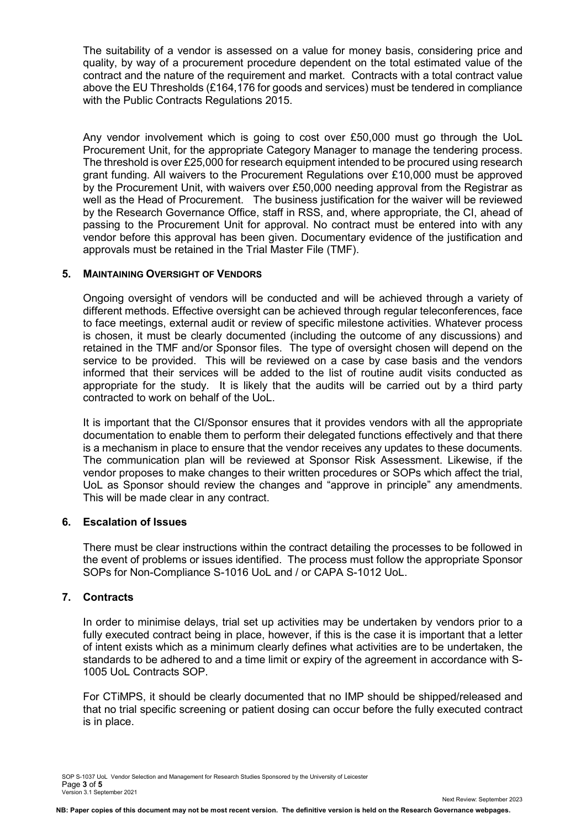The suitability of a vendor is assessed on a value for money basis, considering price and quality, by way of a procurement procedure dependent on the total estimated value of the contract and the nature of the requirement and market. Contracts with a total contract value above the EU Thresholds (£164,176 for goods and services) must be tendered in compliance with the Public Contracts Regulations 2015.

Any vendor involvement which is going to cost over £50,000 must go through the UoL Procurement Unit, for the appropriate Category Manager to manage the tendering process. The threshold is over £25,000 for research equipment intended to be procured using research grant funding. All waivers to the Procurement Regulations over £10,000 must be approved by the Procurement Unit, with waivers over £50,000 needing approval from the Registrar as well as the Head of Procurement. The business justification for the waiver will be reviewed by the Research Governance Office, staff in RSS, and, where appropriate, the CI, ahead of passing to the Procurement Unit for approval. No contract must be entered into with any vendor before this approval has been given. Documentary evidence of the justification and approvals must be retained in the Trial Master File (TMF).

#### **5. MAINTAINING OVERSIGHT OF VENDORS**

Ongoing oversight of vendors will be conducted and will be achieved through a variety of different methods. Effective oversight can be achieved through regular teleconferences, face to face meetings, external audit or review of specific milestone activities. Whatever process is chosen, it must be clearly documented (including the outcome of any discussions) and retained in the TMF and/or Sponsor files. The type of oversight chosen will depend on the service to be provided. This will be reviewed on a case by case basis and the vendors informed that their services will be added to the list of routine audit visits conducted as appropriate for the study. It is likely that the audits will be carried out by a third party contracted to work on behalf of the UoL.

It is important that the CI/Sponsor ensures that it provides vendors with all the appropriate documentation to enable them to perform their delegated functions effectively and that there is a mechanism in place to ensure that the vendor receives any updates to these documents. The communication plan will be reviewed at Sponsor Risk Assessment. Likewise, if the vendor proposes to make changes to their written procedures or SOPs which affect the trial, UoL as Sponsor should review the changes and "approve in principle" any amendments. This will be made clear in any contract.

#### **6. Escalation of Issues**

There must be clear instructions within the contract detailing the processes to be followed in the event of problems or issues identified. The process must follow the appropriate Sponsor SOPs for Non-Compliance S-1016 UoL and / or CAPA S-1012 UoL.

#### **7. Contracts**

In order to minimise delays, trial set up activities may be undertaken by vendors prior to a fully executed contract being in place, however, if this is the case it is important that a letter of intent exists which as a minimum clearly defines what activities are to be undertaken, the standards to be adhered to and a time limit or expiry of the agreement in accordance with S-1005 UoL Contracts SOP.

For CTiMPS, it should be clearly documented that no IMP should be shipped/released and that no trial specific screening or patient dosing can occur before the fully executed contract is in place.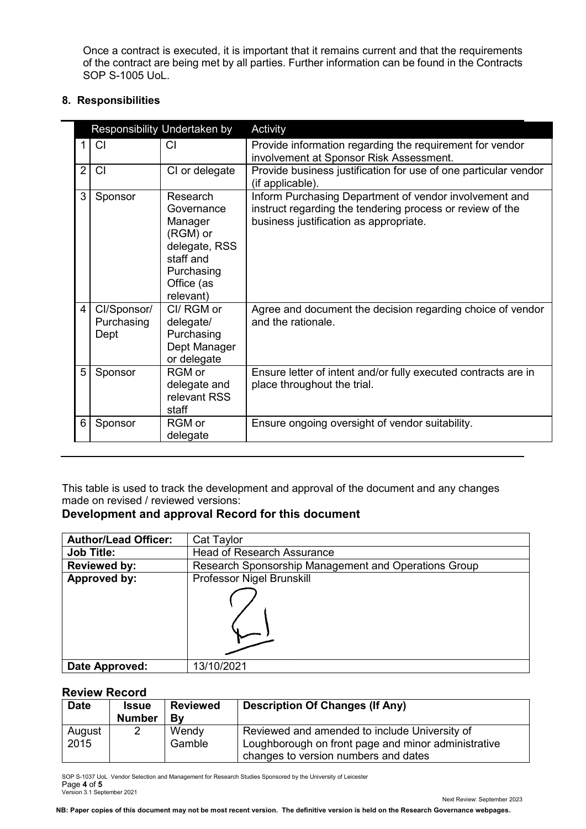Once a contract is executed, it is important that it remains current and that the requirements of the contract are being met by all parties. Further information can be found in the Contracts SOP S-1005 UoL.

### **8. Responsibilities**

| Responsibility Undertaken by |                                   |                                                                                                                      | Activity                                                                                                                                                      |
|------------------------------|-----------------------------------|----------------------------------------------------------------------------------------------------------------------|---------------------------------------------------------------------------------------------------------------------------------------------------------------|
|                              | CI                                | CI                                                                                                                   | Provide information regarding the requirement for vendor<br>involvement at Sponsor Risk Assessment.                                                           |
| $\overline{2}$               | <b>CI</b>                         | CI or delegate                                                                                                       | Provide business justification for use of one particular vendor<br>(if applicable).                                                                           |
| 3                            | Sponsor                           | Research<br>Governance<br>Manager<br>(RGM) or<br>delegate, RSS<br>staff and<br>Purchasing<br>Office (as<br>relevant) | Inform Purchasing Department of vendor involvement and<br>instruct regarding the tendering process or review of the<br>business justification as appropriate. |
| 4 <sup>1</sup>               | Cl/Sponsor/<br>Purchasing<br>Dept | CI/ RGM or<br>delegate/<br>Purchasing<br>Dept Manager<br>or delegate                                                 | Agree and document the decision regarding choice of vendor<br>and the rationale.                                                                              |
| 5                            | Sponsor                           | RGM or<br>delegate and<br>relevant RSS<br>staff                                                                      | Ensure letter of intent and/or fully executed contracts are in<br>place throughout the trial.                                                                 |
| 6                            | Sponsor                           | RGM or<br>delegate                                                                                                   | Ensure ongoing oversight of vendor suitability.                                                                                                               |

This table is used to track the development and approval of the document and any changes made on revised / reviewed versions:

### **Development and approval Record for this document**

| <b>Author/Lead Officer:</b> | Cat Taylor                                           |
|-----------------------------|------------------------------------------------------|
| <b>Job Title:</b>           | <b>Head of Research Assurance</b>                    |
| <b>Reviewed by:</b>         | Research Sponsorship Management and Operations Group |
| Approved by:                | Professor Nigel Brunskill                            |
|                             |                                                      |
| Date Approved:              | 13/10/2021                                           |

#### **Review Record**

| <b>Date</b> | <b>Issue</b><br><b>Number</b> | <b>Reviewed</b><br>Bv | <b>Description Of Changes (If Any)</b>              |
|-------------|-------------------------------|-----------------------|-----------------------------------------------------|
| August      | 2                             | Wendy                 | Reviewed and amended to include University of       |
| 2015        |                               | Gamble                | Loughborough on front page and minor administrative |
|             |                               |                       | changes to version numbers and dates                |

SOP S-1037 UoL Vendor Selection and Management for Research Studies Sponsored by the University of Leicester Page **4** of **5** Version 3.1 September 2021

Next Review: September 2023

**NB: Paper copies of this document may not be most recent version. The definitive version is held on the Research Governance webpages.**